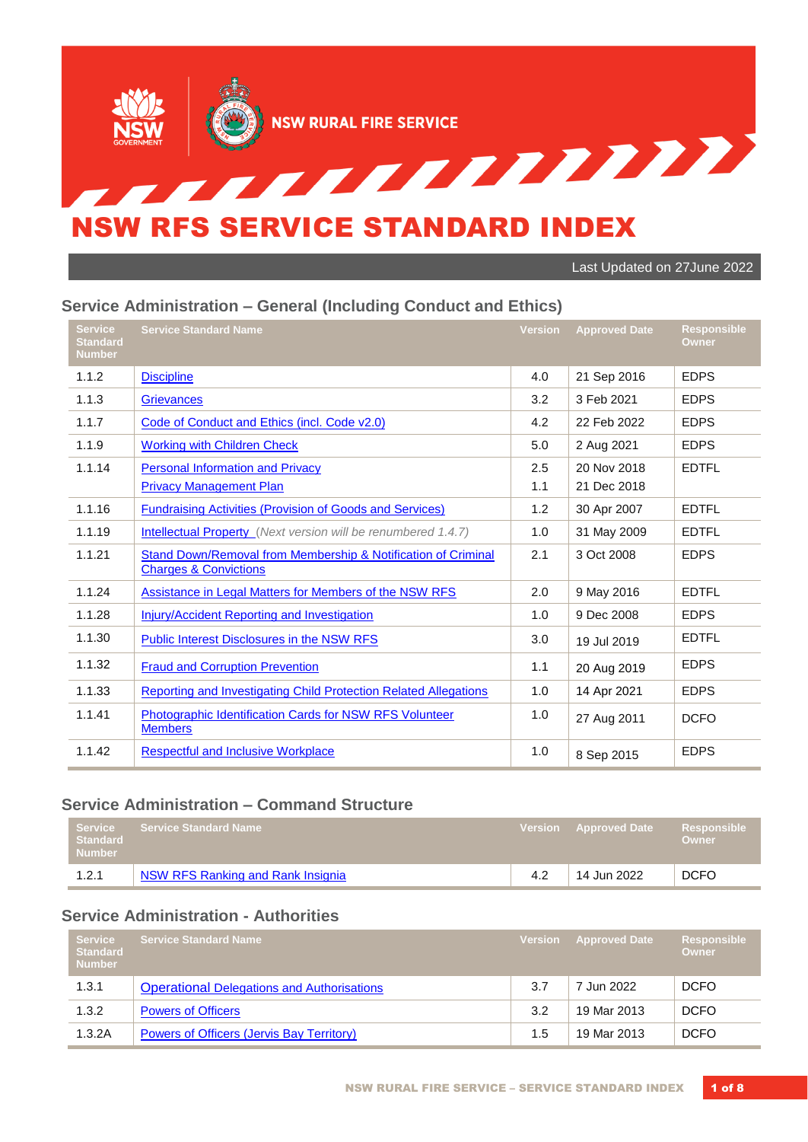

Last Updated on 27June 2022

#### **Service Administration – General (Including Conduct and Ethics)**

| <b>Service</b><br><b>Standard</b><br><b>Number</b> | <b>Service Standard Name</b>                                                                                 | <b>Version</b> | <b>Approved Date</b> | <b>Responsible</b><br><b>Owner</b> |
|----------------------------------------------------|--------------------------------------------------------------------------------------------------------------|----------------|----------------------|------------------------------------|
| 1.1.2                                              | <b>Discipline</b>                                                                                            | 4.0            | 21 Sep 2016          | <b>EDPS</b>                        |
| 1.1.3                                              | <b>Grievances</b>                                                                                            | 3.2            | 3 Feb 2021           | <b>EDPS</b>                        |
| 1.1.7                                              | Code of Conduct and Ethics (incl. Code v2.0)                                                                 | 4.2            | 22 Feb 2022          | <b>EDPS</b>                        |
| 1.1.9                                              | <b>Working with Children Check</b>                                                                           | 5.0            | 2 Aug 2021           | <b>EDPS</b>                        |
| 1.1.14                                             | <b>Personal Information and Privacy</b>                                                                      | 2.5            | 20 Nov 2018          | <b>EDTFL</b>                       |
|                                                    | <b>Privacy Management Plan</b>                                                                               | 1.1            | 21 Dec 2018          |                                    |
| 1.1.16                                             | <b>Fundraising Activities (Provision of Goods and Services)</b>                                              | 1.2            | 30 Apr 2007          | <b>EDTFL</b>                       |
| 1.1.19                                             | <b>Intellectual Property</b> (Next version will be renumbered 1.4.7)                                         | 1.0            | 31 May 2009          | <b>EDTFL</b>                       |
| 1.1.21                                             | <b>Stand Down/Removal from Membership &amp; Notification of Criminal</b><br><b>Charges &amp; Convictions</b> | 2.1            | 3 Oct 2008           | <b>EDPS</b>                        |
| 1.1.24                                             | Assistance in Legal Matters for Members of the NSW RFS                                                       | 2.0            | 9 May 2016           | <b>EDTFL</b>                       |
| 1.1.28                                             | Injury/Accident Reporting and Investigation                                                                  | 1.0            | 9 Dec 2008           | <b>EDPS</b>                        |
| 1.1.30                                             | <b>Public Interest Disclosures in the NSW RFS</b>                                                            | 3.0            | 19 Jul 2019          | <b>EDTFL</b>                       |
| 1.1.32                                             | <b>Fraud and Corruption Prevention</b>                                                                       | 1.1            | 20 Aug 2019          | <b>EDPS</b>                        |
| 1.1.33                                             | <b>Reporting and Investigating Child Protection Related Allegations</b>                                      | 1.0            | 14 Apr 2021          | <b>EDPS</b>                        |
| 1.1.41                                             | Photographic Identification Cards for NSW RFS Volunteer<br><b>Members</b>                                    | 1.0            | 27 Aug 2011          | <b>DCFO</b>                        |
| 1.1.42                                             | <b>Respectful and Inclusive Workplace</b>                                                                    | 1.0            | 8 Sep 2015           | <b>EDPS</b>                        |

#### **Service Administration – Command Structure**

| Service<br><b>Standard</b><br><b>Number</b> | Service Standard Name <b>\</b>    | Version Approved Date | Responsible<br>Owner |
|---------------------------------------------|-----------------------------------|-----------------------|----------------------|
| 1.2.1                                       | NSW RFS Ranking and Rank Insignia | 14 Jun 2022           | <b>DCFO</b>          |

## **Service Administration - Authorities**

| <b>Service</b><br><b>Standard</b><br><b>Number</b> | <b>Service Standard Name</b>                      | <b>Version</b> | <b>Approved Date</b> | <b>Responsible</b><br>Owner |
|----------------------------------------------------|---------------------------------------------------|----------------|----------------------|-----------------------------|
| 1.3.1                                              | <b>Operational Delegations and Authorisations</b> | 3.7            | 7 Jun 2022           | <b>DCFO</b>                 |
| 1.3.2                                              | <b>Powers of Officers</b>                         | 3.2            | 19 Mar 2013          | <b>DCFO</b>                 |
| 1.3.2A                                             | Powers of Officers (Jervis Bay Territory)         | 1.5            | 19 Mar 2013          | <b>DCFO</b>                 |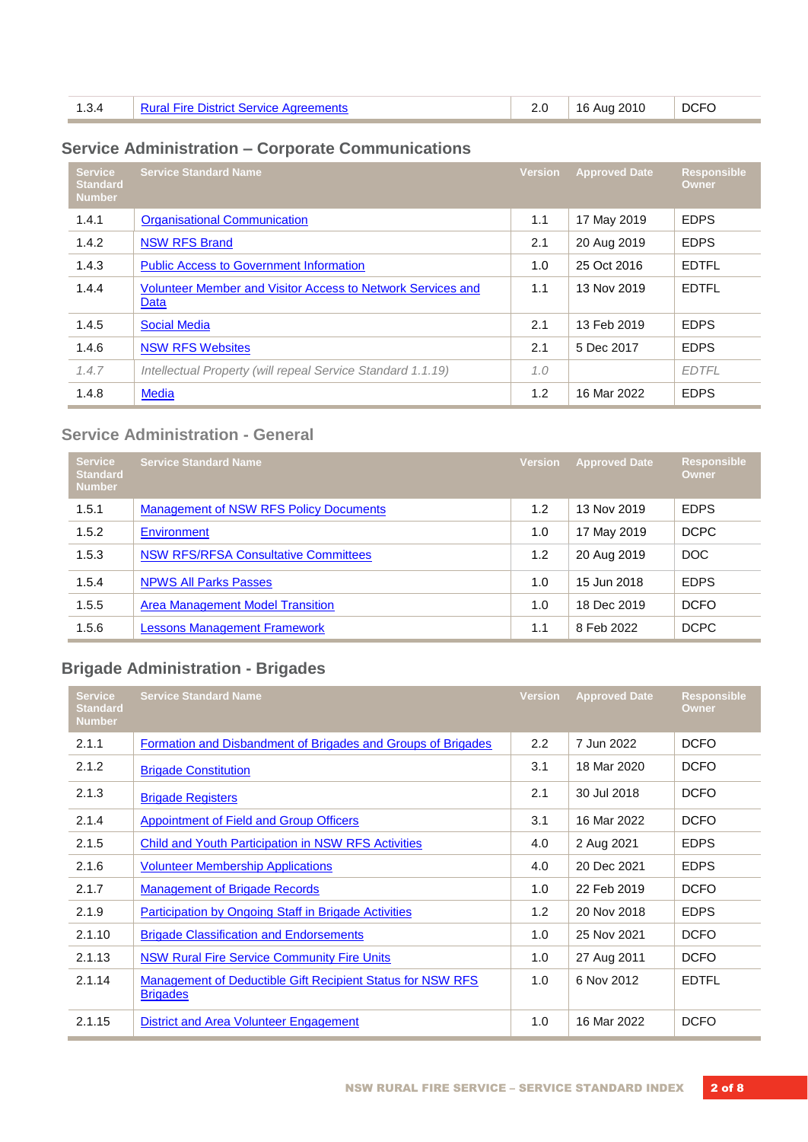| 1.3.4 | Rural Fire District Service Agreements |  | $16$ Aug 2010 | <b>DCFO</b> |
|-------|----------------------------------------|--|---------------|-------------|
|-------|----------------------------------------|--|---------------|-------------|

# **Service Administration – Corporate Communications**

| Service<br><b>Standard</b><br><b>Number</b> | <b>Service Standard Name</b>                                        | <b>Version</b> | <b>Approved Date</b> | <b>Responsible</b><br>Owner |
|---------------------------------------------|---------------------------------------------------------------------|----------------|----------------------|-----------------------------|
| 1.4.1                                       | <b>Organisational Communication</b>                                 | 1.1            | 17 May 2019          | <b>EDPS</b>                 |
| 1.4.2                                       | <b>NSW RFS Brand</b>                                                | 2.1            | 20 Aug 2019          | <b>EDPS</b>                 |
| 1.4.3                                       | <b>Public Access to Government Information</b>                      | 1.0            | 25 Oct 2016          | <b>EDTFL</b>                |
| 1.4.4                                       | Volunteer Member and Visitor Access to Network Services and<br>Data | 1.1            | 13 Nov 2019          | <b>EDTFL</b>                |
| 1.4.5                                       | <b>Social Media</b>                                                 | 2.1            | 13 Feb 2019          | <b>EDPS</b>                 |
| 1.4.6                                       | <b>NSW RFS Websites</b>                                             | 2.1            | 5 Dec 2017           | <b>EDPS</b>                 |
| 1.4.7                                       | Intellectual Property (will repeal Service Standard 1.1.19)         | 1.0            |                      | <b>EDTFL</b>                |
| 1.4.8                                       | <b>Media</b>                                                        | 1.2            | 16 Mar 2022          | <b>EDPS</b>                 |

# **Service Administration - General**

| <b>Service</b><br><b>Standard</b><br><b>Number</b> | <b>Service Standard Name</b>                  | <b>Version</b> | <b>Approved Date</b> | <b>Responsible</b><br>Owner |
|----------------------------------------------------|-----------------------------------------------|----------------|----------------------|-----------------------------|
| 1.5.1                                              | <b>Management of NSW RFS Policy Documents</b> | 1.2            | 13 Nov 2019          | <b>EDPS</b>                 |
| 1.5.2                                              | Environment                                   | 1.0            | 17 May 2019          | <b>DCPC</b>                 |
| 1.5.3                                              | <b>NSW RFS/RFSA Consultative Committees</b>   | 1.2            | 20 Aug 2019          | DOC                         |
| 1.5.4                                              | <b>NPWS All Parks Passes</b>                  | 1.0            | 15 Jun 2018          | <b>EDPS</b>                 |
| 1.5.5                                              | <b>Area Management Model Transition</b>       | 1.0            | 18 Dec 2019          | <b>DCFO</b>                 |
| 1.5.6                                              | <b>Lessons Management Framework</b>           | 1.1            | 8 Feb 2022           | <b>DCPC</b>                 |

# **Brigade Administration - Brigades**

| <b>Service</b><br><b>Standard</b><br><b>Number</b> | <b>Service Standard Name</b>                                                  | <b>Version</b> | <b>Approved Date</b> | <b>Responsible</b><br>Owner |
|----------------------------------------------------|-------------------------------------------------------------------------------|----------------|----------------------|-----------------------------|
| 2.1.1                                              | Formation and Disbandment of Brigades and Groups of Brigades                  | $2.2^{\circ}$  | 7 Jun 2022           | <b>DCFO</b>                 |
| 2.1.2                                              | <b>Brigade Constitution</b>                                                   | 3.1            | 18 Mar 2020          | <b>DCFO</b>                 |
| 2.1.3                                              | <b>Brigade Registers</b>                                                      | 2.1            | 30 Jul 2018          | <b>DCFO</b>                 |
| 2.1.4                                              | <b>Appointment of Field and Group Officers</b>                                | 3.1            | 16 Mar 2022          | <b>DCFO</b>                 |
| 2.1.5                                              | <b>Child and Youth Participation in NSW RFS Activities</b>                    | 4.0            | 2 Aug 2021           | <b>EDPS</b>                 |
| 2.1.6                                              | <b>Volunteer Membership Applications</b>                                      | 4.0            | 20 Dec 2021          | <b>EDPS</b>                 |
| 2.1.7                                              | <b>Management of Brigade Records</b>                                          | 1.0            | 22 Feb 2019          | DCFO                        |
| 2.1.9                                              | <b>Participation by Ongoing Staff in Brigade Activities</b>                   | 1.2            | 20 Nov 2018          | <b>EDPS</b>                 |
| 2.1.10                                             | <b>Brigade Classification and Endorsements</b>                                | 1.0            | 25 Nov 2021          | DCFO                        |
| 2.1.13                                             | <b>NSW Rural Fire Service Community Fire Units</b>                            | 1.0            | 27 Aug 2011          | <b>DCFO</b>                 |
| 2.1.14                                             | Management of Deductible Gift Recipient Status for NSW RFS<br><b>Brigades</b> | 1.0            | 6 Nov 2012           | <b>EDTFL</b>                |
| 2.1.15                                             | District and Area Volunteer Engagement                                        | 1.0            | 16 Mar 2022          | <b>DCFO</b>                 |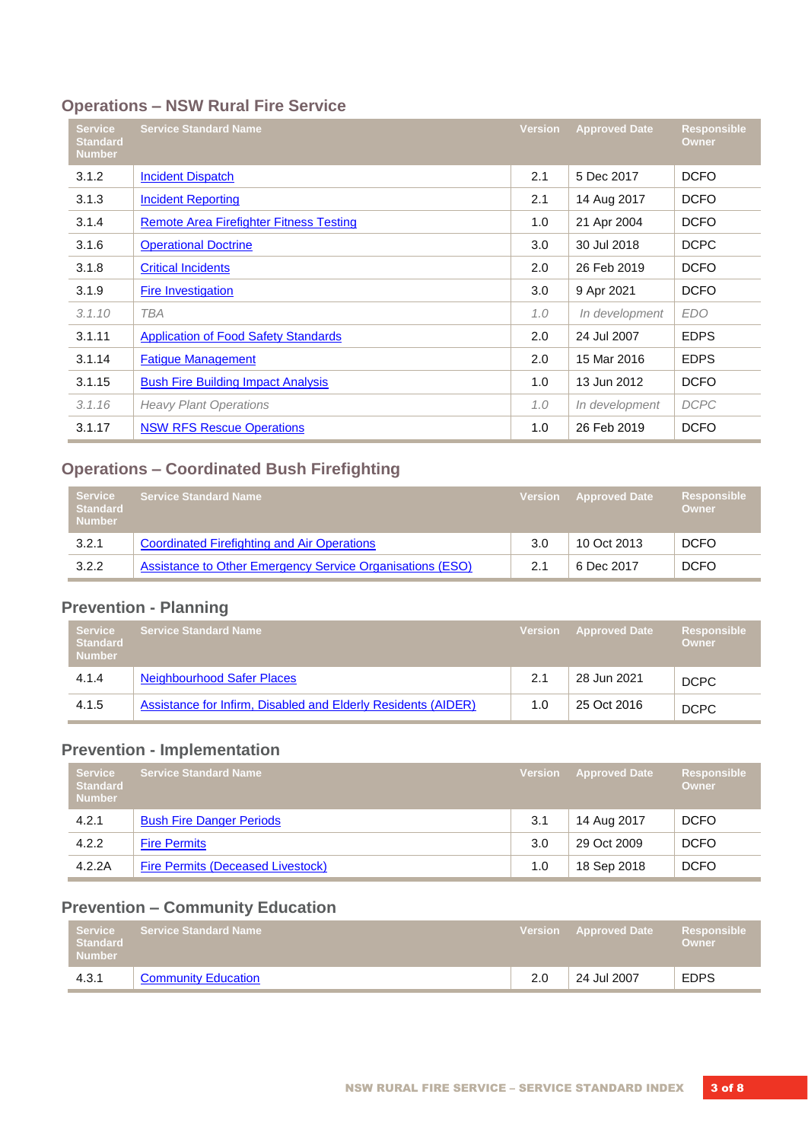# **Operations – NSW Rural Fire Service**

| <b>Service</b><br><b>Standard</b><br><b>Number</b> | <b>Service Standard Name</b>                | <b>Version</b> | <b>Approved Date</b> | <b>Responsible</b><br><b>Owner</b> |
|----------------------------------------------------|---------------------------------------------|----------------|----------------------|------------------------------------|
| 3.1.2                                              | <b>Incident Dispatch</b>                    | 2.1            | 5 Dec 2017           | <b>DCFO</b>                        |
| 3.1.3                                              | <b>Incident Reporting</b>                   | 2.1            | 14 Aug 2017          | <b>DCFO</b>                        |
| 3.1.4                                              | Remote Area Firefighter Fitness Testing     | 1.0            | 21 Apr 2004          | <b>DCFO</b>                        |
| 3.1.6                                              | <b>Operational Doctrine</b>                 | 3.0            | 30 Jul 2018          | <b>DCPC</b>                        |
| 3.1.8                                              | <b>Critical Incidents</b>                   | 2.0            | 26 Feb 2019          | <b>DCFO</b>                        |
| 3.1.9                                              | <b>Fire Investigation</b>                   | 3.0            | 9 Apr 2021           | <b>DCFO</b>                        |
| 3.1.10                                             | <b>TBA</b>                                  | 1.0            | In development       | <b>EDO</b>                         |
| 3.1.11                                             | <b>Application of Food Safety Standards</b> | 2.0            | 24 Jul 2007          | <b>EDPS</b>                        |
| 3.1.14                                             | <b>Fatigue Management</b>                   | 2.0            | 15 Mar 2016          | <b>EDPS</b>                        |
| 3.1.15                                             | <b>Bush Fire Building Impact Analysis</b>   | 1.0            | 13 Jun 2012          | <b>DCFO</b>                        |
| 3.1.16                                             | <b>Heavy Plant Operations</b>               | 1.0            | In development       | <b>DCPC</b>                        |
| 3.1.17                                             | <b>NSW RFS Rescue Operations</b>            | 1.0            | 26 Feb 2019          | <b>DCFO</b>                        |

# **Operations – Coordinated Bush Firefighting**

| <b>Service</b><br><b>Standard</b><br><b>Number</b> | <b>Service Standard Name</b>                              |     | <b>Version</b> Approved Date | <b>Responsible</b><br><b>Owner</b> |
|----------------------------------------------------|-----------------------------------------------------------|-----|------------------------------|------------------------------------|
| 3.2.1                                              | <b>Coordinated Firefighting and Air Operations</b>        | 3.0 | 10 Oct 2013                  | <b>DCFO</b>                        |
| 3.2.2                                              | Assistance to Other Emergency Service Organisations (ESO) | 2.1 | 6 Dec 2017                   | DCFO                               |

# **Prevention - Planning**

| <b>Service</b><br><b>Standard</b><br><b>Number</b> | <b>Service Standard Name</b> ،                                |     | Version Approved Date | Responsible<br><b>Owner</b> |
|----------------------------------------------------|---------------------------------------------------------------|-----|-----------------------|-----------------------------|
| 4.1.4                                              | <b>Neighbourhood Safer Places</b>                             | 2.1 | 28 Jun 2021           | <b>DCPC</b>                 |
| 4.1.5                                              | Assistance for Infirm, Disabled and Elderly Residents (AIDER) | 1.0 | 25 Oct 2016           | DCPC                        |

## **Prevention - Implementation**

| <b>Service</b><br><b>Standard</b><br><b>Number</b> | <b>Service Standard Name</b>      | Version | Approved Date | Responsible<br>Owner |
|----------------------------------------------------|-----------------------------------|---------|---------------|----------------------|
| 4.2.1                                              | <b>Bush Fire Danger Periods</b>   | 3.1     | 14 Aug 2017   | <b>DCFO</b>          |
| 4.2.2                                              | <b>Fire Permits</b>               | 3.0     | 29 Oct 2009   | <b>DCFO</b>          |
| 4.2.2A                                             | Fire Permits (Deceased Livestock) | 1.0     | 18 Sep 2018   | <b>DCFO</b>          |

# **Prevention – Community Education**

| <b>Standard</b><br><b>Number</b> | ⊦ Service → Service Standard Name → |     | Version Approved Date | Responsible<br>Owner <sup>1</sup> |
|----------------------------------|-------------------------------------|-----|-----------------------|-----------------------------------|
| 4.3.1                            | <b>Community Education</b>          | 2.0 | 24 Jul 2007           | <b>EDPS</b>                       |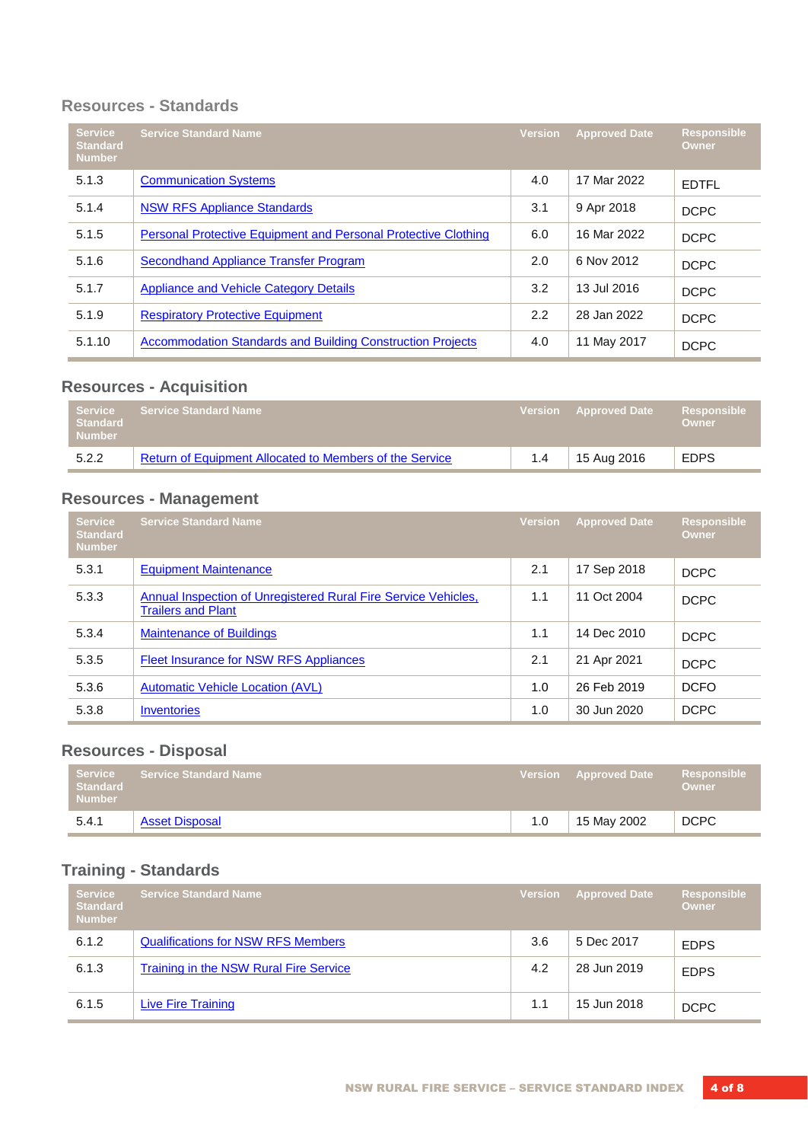#### **Resources - Standards**

| <b>Service</b><br><b>Standard</b><br><b>Number</b> | <b>Service Standard Name</b>                                          | <b>Version</b> | <b>Approved Date</b> | <b>Responsible</b><br>Owner |
|----------------------------------------------------|-----------------------------------------------------------------------|----------------|----------------------|-----------------------------|
| 5.1.3                                              | <b>Communication Systems</b>                                          | 4.0            | 17 Mar 2022          | <b>EDTFL</b>                |
| 5.1.4                                              | <b>NSW RFS Appliance Standards</b>                                    | 3.1            | 9 Apr 2018           | <b>DCPC</b>                 |
| 5.1.5                                              | <b>Personal Protective Equipment and Personal Protective Clothing</b> | 6.0            | 16 Mar 2022          | <b>DCPC</b>                 |
| 5.1.6                                              | <b>Secondhand Appliance Transfer Program</b>                          | 2.0            | 6 Nov 2012           | <b>DCPC</b>                 |
| 5.1.7                                              | <b>Appliance and Vehicle Category Details</b>                         | 3.2            | 13 Jul 2016          | <b>DCPC</b>                 |
| 5.1.9                                              | <b>Respiratory Protective Equipment</b>                               | 2.2            | 28 Jan 2022          | <b>DCPC</b>                 |
| 5.1.10                                             | <b>Accommodation Standards and Building Construction Projects</b>     | 4.0            | 11 May 2017          | <b>DCPC</b>                 |

# **Resources - Acquisition**

| <b>Service</b><br><b>Standard</b><br><b>Number</b> | Ⅰ Service Standard Name <sup>1</sup>                    |     | Version Approved Date | Responsible<br><b>Owner</b> |
|----------------------------------------------------|---------------------------------------------------------|-----|-----------------------|-----------------------------|
| 5.2.2                                              | Return of Equipment Allocated to Members of the Service | 1.4 | 15 Aug 2016           | <b>EDPS</b>                 |

## **Resources - Management**

| <b>Service</b><br><b>Standard</b><br><b>Number</b> | <b>Service Standard Name</b>                                                                | <b>Version</b> | <b>Approved Date</b> | <b>Responsible</b><br><b>Owner</b> |
|----------------------------------------------------|---------------------------------------------------------------------------------------------|----------------|----------------------|------------------------------------|
| 5.3.1                                              | <b>Equipment Maintenance</b>                                                                | 2.1            | 17 Sep 2018          | <b>DCPC</b>                        |
| 5.3.3                                              | Annual Inspection of Unregistered Rural Fire Service Vehicles,<br><b>Trailers and Plant</b> | 1.1            | 11 Oct 2004          | <b>DCPC</b>                        |
| 5.3.4                                              | <b>Maintenance of Buildings</b>                                                             | 1.1            | 14 Dec 2010          | <b>DCPC</b>                        |
| 5.3.5                                              | Fleet Insurance for NSW RFS Appliances                                                      | 2.1            | 21 Apr 2021          | <b>DCPC</b>                        |
| 5.3.6                                              | <b>Automatic Vehicle Location (AVL)</b>                                                     | 1.0            | 26 Feb 2019          | <b>DCFO</b>                        |
| 5.3.8                                              | <b>Inventories</b>                                                                          | 1.0            | 30 Jun 2020          | <b>DCPC</b>                        |

# **Resources - Disposal**

| Standard<br><b>Number</b> | Service Service Standard Name |     | Version Approved Date Responsible | <b>Owner</b> |
|---------------------------|-------------------------------|-----|-----------------------------------|--------------|
| 5.4.1                     | <b>Asset Disposal</b>         | 1.0 | 15 May 2002                       | <b>DCPC</b>  |

# **Training - Standards**

| <b>Service</b><br><b>Standard</b><br><b>Number</b> | <b>Service Standard Name</b>              | <b>Version</b> | <b>Approved Date</b> | <b>Responsible</b><br>Owner |
|----------------------------------------------------|-------------------------------------------|----------------|----------------------|-----------------------------|
| 6.1.2                                              | <b>Qualifications for NSW RFS Members</b> | 3.6            | 5 Dec 2017           | <b>EDPS</b>                 |
| 6.1.3                                              | Training in the NSW Rural Fire Service    | 4.2            | 28 Jun 2019          | <b>EDPS</b>                 |
| 6.1.5                                              | <b>Live Fire Training</b>                 | 1.1            | 15 Jun 2018          | <b>DCPC</b>                 |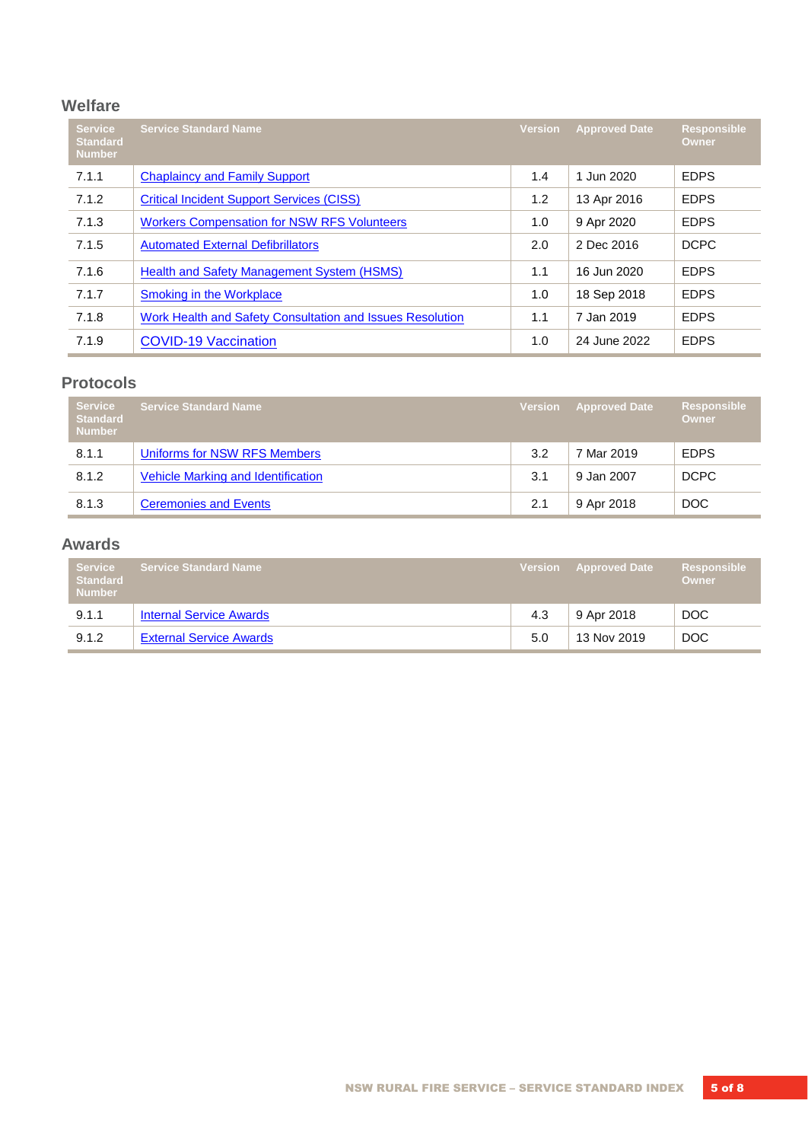#### **Welfare**

| <b>Service</b><br><b>Standard</b><br><b>Number</b> | <b>Service Standard Name</b>                              | <b>Version</b> | <b>Approved Date</b> | <b>Responsible</b><br>Owner |
|----------------------------------------------------|-----------------------------------------------------------|----------------|----------------------|-----------------------------|
| 7.1.1                                              | <b>Chaplaincy and Family Support</b>                      | 1.4            | 1 Jun 2020           | <b>EDPS</b>                 |
| 7.1.2                                              | <b>Critical Incident Support Services (CISS)</b>          | 1.2            | 13 Apr 2016          | <b>EDPS</b>                 |
| 7.1.3                                              | <b>Workers Compensation for NSW RFS Volunteers</b>        | 1.0            | 9 Apr 2020           | <b>EDPS</b>                 |
| 7.1.5                                              | <b>Automated External Defibrillators</b>                  | 2.0            | 2 Dec 2016           | <b>DCPC</b>                 |
| 7.1.6                                              | Health and Safety Management System (HSMS)                | 1.1            | 16 Jun 2020          | <b>EDPS</b>                 |
| 7.1.7                                              | <b>Smoking in the Workplace</b>                           | 1.0            | 18 Sep 2018          | <b>EDPS</b>                 |
| 7.1.8                                              | Work Health and Safety Consultation and Issues Resolution | 1.1            | 7 Jan 2019           | <b>EDPS</b>                 |
| 7.1.9                                              | <b>COVID-19 Vaccination</b>                               | 1.0            | 24 June 2022         | <b>EDPS</b>                 |

#### **Protocols**

| <b>Service</b><br><b>Standard</b><br><b>Number</b> | <b>Service Standard Name</b>       | <b>Version</b> | <b>Approved Date</b> | <b>Responsible</b><br>Owner |
|----------------------------------------------------|------------------------------------|----------------|----------------------|-----------------------------|
| 8.1.1                                              | Uniforms for NSW RFS Members       | 3.2            | 7 Mar 2019           | <b>EDPS</b>                 |
| 8.1.2                                              | Vehicle Marking and Identification | 3.1            | 9 Jan 2007           | <b>DCPC</b>                 |
| 8.1.3                                              | <b>Ceremonies and Events</b>       | 2.1            | 9 Apr 2018           | DOC                         |

#### **Awards**

| <b>Service</b><br><b>Standard</b><br><b>Number</b> | <b>Service Standard Name</b>   |     | <b>Version</b> Approved Date | <b>Responsible</b><br><b>Owner</b> |
|----------------------------------------------------|--------------------------------|-----|------------------------------|------------------------------------|
| 9.1.1                                              | <b>Internal Service Awards</b> | 4.3 | 9 Apr 2018                   | DOC                                |
| 9.1.2                                              | <b>External Service Awards</b> | 5.0 | 13 Nov 2019                  | DOC                                |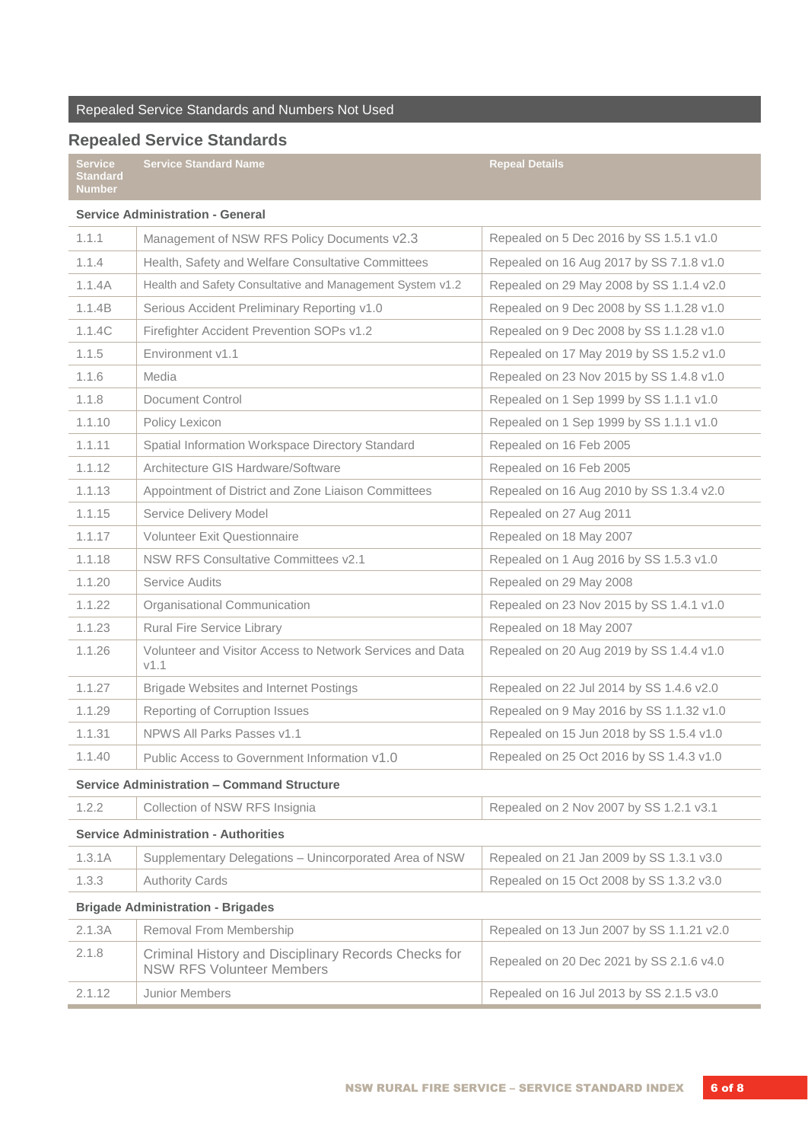## **Repealed Service Standards**

|                                                    | NGNGGIGA JEI MING JIGHUGI US                                                             |                                           |
|----------------------------------------------------|------------------------------------------------------------------------------------------|-------------------------------------------|
| <b>Service</b><br><b>Standard</b><br><b>Number</b> | <b>Service Standard Name</b>                                                             | <b>Repeal Details</b>                     |
|                                                    | <b>Service Administration - General</b>                                                  |                                           |
| 1.1.1                                              | Management of NSW RFS Policy Documents v2.3                                              | Repealed on 5 Dec 2016 by SS 1.5.1 v1.0   |
| 1.1.4                                              | Health, Safety and Welfare Consultative Committees                                       | Repealed on 16 Aug 2017 by SS 7.1.8 v1.0  |
| 1.1.4A                                             | Health and Safety Consultative and Management System v1.2                                | Repealed on 29 May 2008 by SS 1.1.4 v2.0  |
| 1.1.4B                                             | Serious Accident Preliminary Reporting v1.0                                              | Repealed on 9 Dec 2008 by SS 1.1.28 v1.0  |
| 1.1.4C                                             | Firefighter Accident Prevention SOPs v1.2                                                | Repealed on 9 Dec 2008 by SS 1.1.28 v1.0  |
| 1.1.5                                              | Environment v1.1                                                                         | Repealed on 17 May 2019 by SS 1.5.2 v1.0  |
| 1.1.6                                              | Media                                                                                    | Repealed on 23 Nov 2015 by SS 1.4.8 v1.0  |
| 1.1.8                                              | Document Control                                                                         | Repealed on 1 Sep 1999 by SS 1.1.1 v1.0   |
| 1.1.10                                             | Policy Lexicon                                                                           | Repealed on 1 Sep 1999 by SS 1.1.1 v1.0   |
| 1.1.11                                             | Spatial Information Workspace Directory Standard                                         | Repealed on 16 Feb 2005                   |
| 1.1.12                                             | Architecture GIS Hardware/Software                                                       | Repealed on 16 Feb 2005                   |
| 1.1.13                                             | Appointment of District and Zone Liaison Committees                                      | Repealed on 16 Aug 2010 by SS 1.3.4 v2.0  |
| 1.1.15                                             | Service Delivery Model                                                                   | Repealed on 27 Aug 2011                   |
| 1.1.17                                             | <b>Volunteer Exit Questionnaire</b>                                                      | Repealed on 18 May 2007                   |
| 1.1.18                                             | <b>NSW RFS Consultative Committees v2.1</b>                                              | Repealed on 1 Aug 2016 by SS 1.5.3 v1.0   |
| 1.1.20                                             | <b>Service Audits</b>                                                                    | Repealed on 29 May 2008                   |
| 1.1.22                                             | Organisational Communication                                                             | Repealed on 23 Nov 2015 by SS 1.4.1 v1.0  |
| 1.1.23                                             | Rural Fire Service Library                                                               | Repealed on 18 May 2007                   |
| 1.1.26                                             | Volunteer and Visitor Access to Network Services and Data<br>V1.1                        | Repealed on 20 Aug 2019 by SS 1.4.4 v1.0  |
| 1.1.27                                             | <b>Brigade Websites and Internet Postings</b>                                            | Repealed on 22 Jul 2014 by SS 1.4.6 v2.0  |
| 1.1.29                                             | Reporting of Corruption Issues                                                           | Repealed on 9 May 2016 by SS 1.1.32 v1.0  |
| 1.1.31                                             | NPWS All Parks Passes v1.1                                                               | Repealed on 15 Jun 2018 by SS 1.5.4 v1.0  |
| 1.1.40                                             | Public Access to Government Information v1.0                                             | Repealed on 25 Oct 2016 by SS 1.4.3 v1.0  |
|                                                    | <b>Service Administration - Command Structure</b>                                        |                                           |
| 1.2.2                                              | Collection of NSW RFS Insignia                                                           | Repealed on 2 Nov 2007 by SS 1.2.1 v3.1   |
|                                                    | <b>Service Administration - Authorities</b>                                              |                                           |
| 1.3.1A                                             | Supplementary Delegations - Unincorporated Area of NSW                                   | Repealed on 21 Jan 2009 by SS 1.3.1 v3.0  |
| 1.3.3                                              | <b>Authority Cards</b>                                                                   | Repealed on 15 Oct 2008 by SS 1.3.2 v3.0  |
|                                                    | <b>Brigade Administration - Brigades</b>                                                 |                                           |
| 2.1.3A                                             | Removal From Membership                                                                  | Repealed on 13 Jun 2007 by SS 1.1.21 v2.0 |
| 2.1.8                                              | Criminal History and Disciplinary Records Checks for<br><b>NSW RFS Volunteer Members</b> | Repealed on 20 Dec 2021 by SS 2.1.6 v4.0  |
| 2.1.12                                             | Junior Members                                                                           | Repealed on 16 Jul 2013 by SS 2.1.5 v3.0  |
|                                                    |                                                                                          |                                           |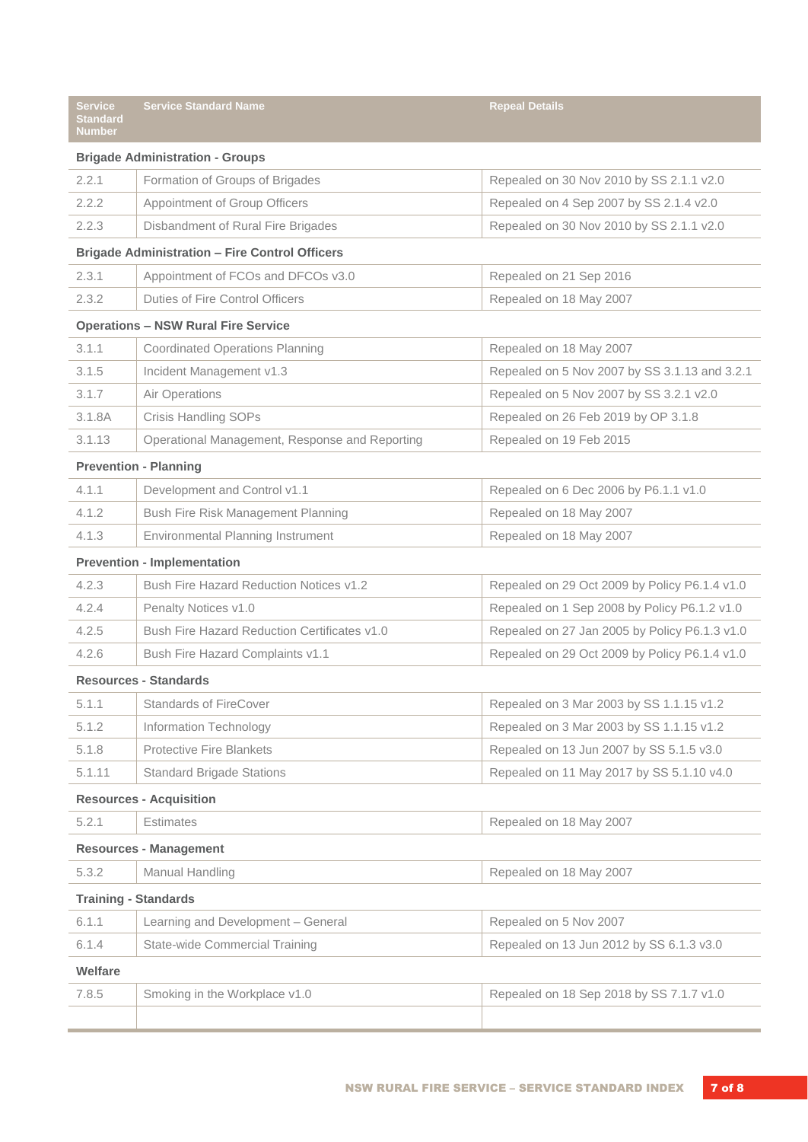| <b>Service</b><br><b>Standard</b><br><b>Number</b> | <b>Service Standard Name</b>                          | <b>Repeal Details</b>                         |
|----------------------------------------------------|-------------------------------------------------------|-----------------------------------------------|
|                                                    | <b>Brigade Administration - Groups</b>                |                                               |
| 2.2.1                                              | Formation of Groups of Brigades                       | Repealed on 30 Nov 2010 by SS 2.1.1 v2.0      |
| 2.2.2                                              | Appointment of Group Officers                         | Repealed on 4 Sep 2007 by SS 2.1.4 v2.0       |
| 2.2.3                                              | Disbandment of Rural Fire Brigades                    | Repealed on 30 Nov 2010 by SS 2.1.1 v2.0      |
|                                                    | <b>Brigade Administration - Fire Control Officers</b> |                                               |
| 2.3.1                                              | Appointment of FCOs and DFCOs v3.0                    | Repealed on 21 Sep 2016                       |
| 2.3.2                                              | <b>Duties of Fire Control Officers</b>                | Repealed on 18 May 2007                       |
|                                                    | <b>Operations - NSW Rural Fire Service</b>            |                                               |
| 3.1.1                                              | <b>Coordinated Operations Planning</b>                | Repealed on 18 May 2007                       |
| 3.1.5                                              | Incident Management v1.3                              | Repealed on 5 Nov 2007 by SS 3.1.13 and 3.2.1 |
| 3.1.7                                              | Air Operations                                        | Repealed on 5 Nov 2007 by SS 3.2.1 v2.0       |
| 3.1.8A                                             | Crisis Handling SOPs                                  | Repealed on 26 Feb 2019 by OP 3.1.8           |
| 3.1.13                                             | Operational Management, Response and Reporting        | Repealed on 19 Feb 2015                       |
|                                                    | <b>Prevention - Planning</b>                          |                                               |
| 4.1.1                                              | Development and Control v1.1                          | Repealed on 6 Dec 2006 by P6.1.1 v1.0         |
| 4.1.2                                              | Bush Fire Risk Management Planning                    | Repealed on 18 May 2007                       |
| 4.1.3                                              | Environmental Planning Instrument                     | Repealed on 18 May 2007                       |
|                                                    | <b>Prevention - Implementation</b>                    |                                               |
| 4.2.3                                              | <b>Bush Fire Hazard Reduction Notices v1.2</b>        | Repealed on 29 Oct 2009 by Policy P6.1.4 v1.0 |
| 4.2.4                                              | Penalty Notices v1.0                                  | Repealed on 1 Sep 2008 by Policy P6.1.2 v1.0  |
| 4.2.5                                              | <b>Bush Fire Hazard Reduction Certificates v1.0</b>   | Repealed on 27 Jan 2005 by Policy P6.1.3 v1.0 |
| 4.2.6                                              | Bush Fire Hazard Complaints v1.1                      | Repealed on 29 Oct 2009 by Policy P6.1.4 v1.0 |
|                                                    | <b>Resources - Standards</b>                          |                                               |
| 5.1.1                                              | <b>Standards of FireCover</b>                         | Repealed on 3 Mar 2003 by SS 1.1.15 v1.2      |
| 5.1.2                                              | Information Technology                                | Repealed on 3 Mar 2003 by SS 1.1.15 v1.2      |
| 5.1.8                                              | <b>Protective Fire Blankets</b>                       | Repealed on 13 Jun 2007 by SS 5.1.5 v3.0      |
| 5.1.11                                             | <b>Standard Brigade Stations</b>                      | Repealed on 11 May 2017 by SS 5.1.10 v4.0     |
|                                                    | <b>Resources - Acquisition</b>                        |                                               |
| 5.2.1                                              | <b>Estimates</b>                                      | Repealed on 18 May 2007                       |
|                                                    | <b>Resources - Management</b>                         |                                               |
| 5.3.2                                              | Manual Handling                                       | Repealed on 18 May 2007                       |
| <b>Training - Standards</b>                        |                                                       |                                               |
| 6.1.1                                              | Learning and Development - General                    | Repealed on 5 Nov 2007                        |
| 6.1.4                                              | <b>State-wide Commercial Training</b>                 | Repealed on 13 Jun 2012 by SS 6.1.3 v3.0      |
| Welfare                                            |                                                       |                                               |
| 7.8.5                                              | Smoking in the Workplace v1.0                         | Repealed on 18 Sep 2018 by SS 7.1.7 v1.0      |
|                                                    |                                                       |                                               |